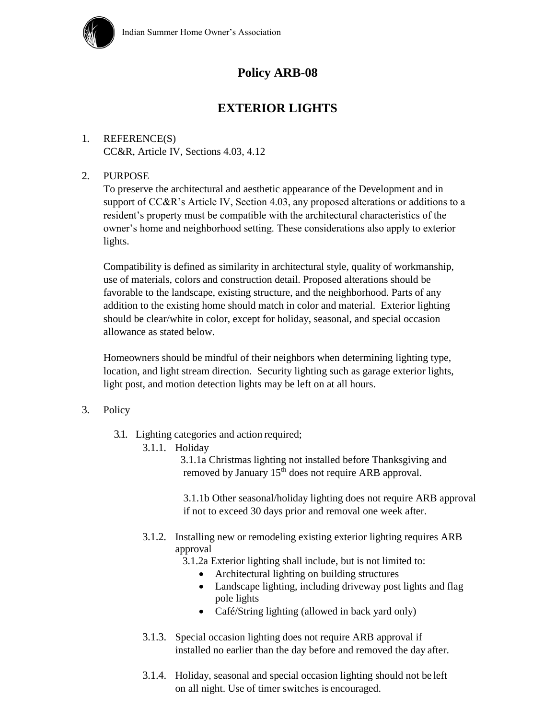

# **Policy ARB-08**

# **EXTERIOR LIGHTS**

## 1. REFERENCE(S) CC&R, Article IV, Sections 4.03, 4.12

### 2. PURPOSE

To preserve the architectural and aesthetic appearance of the Development and in support of CC&R's Article IV, Section 4.03, any proposed alterations or additions to a resident's property must be compatible with the architectural characteristics of the owner's home and neighborhood setting. These considerations also apply to exterior lights.

Compatibility is defined as similarity in architectural style, quality of workmanship, use of materials, colors and construction detail. Proposed alterations should be favorable to the landscape, existing structure, and the neighborhood. Parts of any addition to the existing home should match in color and material. Exterior lighting should be clear/white in color, except for holiday, seasonal, and special occasion allowance as stated below.

Homeowners should be mindful of their neighbors when determining lighting type, location, and light stream direction. Security lighting such as garage exterior lights, light post, and motion detection lights may be left on at all hours.

### 3. Policy

- 3.1. Lighting categories and action required;
	- 3.1.1. Holiday

3.1.1a Christmas lighting not installed before Thanksgiving and removed by January 15<sup>th</sup> does not require ARB approval.

3.1.1b Other seasonal/holiday lighting does not require ARB approval if not to exceed 30 days prior and removal one week after.

3.1.2. Installing new or remodeling existing exterior lighting requires ARB approval

3.1.2a Exterior lighting shall include, but is not limited to:

- Architectural lighting on building structures
- Landscape lighting, including driveway post lights and flag pole lights
- Café/String lighting (allowed in back yard only)
- 3.1.3. Special occasion lighting does not require ARB approval if installed no earlier than the day before and removed the day after.
- 3.1.4. Holiday, seasonal and special occasion lighting should not be left on all night. Use of timer switches is encouraged.